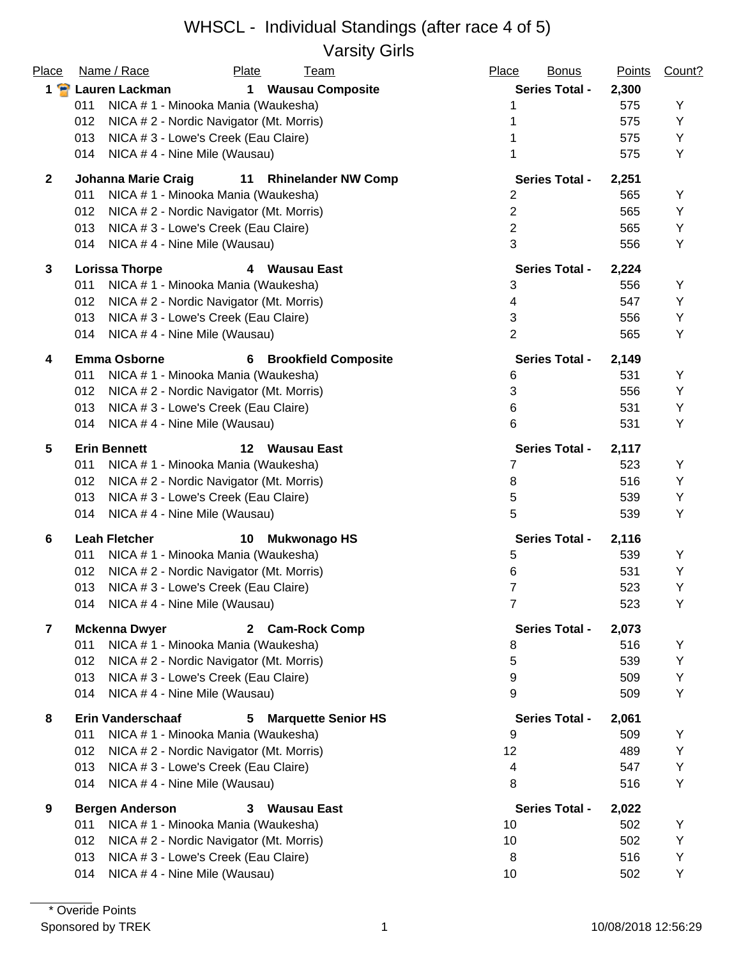### WHSCL - Individual Standings (after race 4 of 5) Varsity Girls

|                         | $\sim$                                                         |                          |               |        |
|-------------------------|----------------------------------------------------------------|--------------------------|---------------|--------|
| Place                   | Name / Race<br>Plate<br><u>Team</u>                            | Place<br><b>Bonus</b>    | <b>Points</b> | Count? |
| $1 \cdot$               | Lauren Lackman<br><b>Wausau Composite</b><br>$\mathbf 1$       | <b>Series Total -</b>    | 2,300         |        |
|                         | 011<br>NICA # 1 - Minooka Mania (Waukesha)                     | 1                        | 575           | Υ      |
|                         | 012<br>NICA # 2 - Nordic Navigator (Mt. Morris)                |                          | 575           | Υ      |
|                         | 013<br>NICA # 3 - Lowe's Creek (Eau Claire)                    |                          | 575           | Υ      |
|                         | NICA #4 - Nine Mile (Wausau)<br>014                            | 1                        | 575           | Υ      |
| $\mathbf{2}$            | <b>Johanna Marie Craig</b><br>11<br><b>Rhinelander NW Comp</b> | <b>Series Total -</b>    | 2,251         |        |
|                         | NICA # 1 - Minooka Mania (Waukesha)<br>011                     | 2                        | 565           | Υ      |
|                         | 012<br>NICA # 2 - Nordic Navigator (Mt. Morris)                | $\sqrt{2}$               | 565           | Υ      |
|                         | 013<br>NICA # 3 - Lowe's Creek (Eau Claire)                    | $\overline{c}$           | 565           | Υ      |
|                         | NICA #4 - Nine Mile (Wausau)<br>014                            | $\mathfrak{S}$           | 556           | Υ      |
| 3                       | <b>Lorissa Thorpe</b><br>4 Wausau East                         | <b>Series Total -</b>    | 2,224         |        |
|                         | 011<br>NICA # 1 - Minooka Mania (Waukesha)                     | 3                        | 556           | Υ      |
|                         | 012<br>NICA # 2 - Nordic Navigator (Mt. Morris)                | $\overline{\mathcal{A}}$ | 547           | Υ      |
|                         | 013<br>NICA # 3 - Lowe's Creek (Eau Claire)                    | $\mathbf{3}$             | 556           | Υ      |
|                         | NICA #4 - Nine Mile (Wausau)<br>014                            | $\overline{2}$           | 565           | Υ      |
| 4                       | <b>Emma Osborne</b><br><b>Brookfield Composite</b><br>6        | <b>Series Total -</b>    | 2,149         |        |
|                         | 011<br>NICA # 1 - Minooka Mania (Waukesha)                     | 6                        | 531           | Υ      |
|                         | 012<br>NICA # 2 - Nordic Navigator (Mt. Morris)                | 3                        | 556           | Y      |
|                         | 013<br>NICA # 3 - Lowe's Creek (Eau Claire)                    | 6                        | 531           | Υ      |
|                         | NICA #4 - Nine Mile (Wausau)<br>014                            | 6                        | 531           | Υ      |
| 5                       | <b>Erin Bennett</b><br>12<br>Wausau East                       | <b>Series Total -</b>    | 2,117         |        |
|                         | 011<br>NICA # 1 - Minooka Mania (Waukesha)                     | 7                        | 523           | Υ      |
|                         | NICA # 2 - Nordic Navigator (Mt. Morris)<br>012                | 8                        | 516           | Υ      |
|                         | 013<br>NICA # 3 - Lowe's Creek (Eau Claire)                    | 5                        | 539           | Υ      |
|                         | NICA #4 - Nine Mile (Wausau)<br>014                            | 5                        | 539           | Y      |
| 6                       | <b>Leah Fletcher</b><br>10<br><b>Mukwonago HS</b>              | <b>Series Total -</b>    | 2,116         |        |
|                         | NICA # 1 - Minooka Mania (Waukesha)<br>011                     | 5                        | 539           | Υ      |
|                         | 012<br>NICA # 2 - Nordic Navigator (Mt. Morris)                | 6                        | 531           | Υ      |
|                         | 013<br>NICA # 3 - Lowe's Creek (Eau Claire)                    | 7                        | 523           | Υ      |
|                         | NICA # 4 - Nine Mile (Wausau)<br>014                           | 7                        | 523           | Υ      |
| $\overline{\mathbf{z}}$ | <b>Mckenna Dwyer</b><br>2 Cam-Rock Comp                        | <b>Series Total -</b>    | 2,073         |        |
|                         | 011<br>NICA # 1 - Minooka Mania (Waukesha)                     | 8                        | 516           | Υ      |
|                         | 012<br>NICA # 2 - Nordic Navigator (Mt. Morris)                | 5                        | 539           | Υ      |
|                         | 013<br>NICA # 3 - Lowe's Creek (Eau Claire)                    | 9                        | 509           | Υ      |
|                         | 014<br>NICA #4 - Nine Mile (Wausau)                            | 9                        | 509           | Υ      |
| 8                       | <b>Erin Vanderschaaf</b><br><b>Marquette Senior HS</b><br>5.   | <b>Series Total -</b>    | 2,061         |        |
|                         | 011<br>NICA # 1 - Minooka Mania (Waukesha)                     | 9                        | 509           | Y      |
|                         | 012<br>NICA # 2 - Nordic Navigator (Mt. Morris)                | 12                       | 489           | Y      |
|                         | 013<br>NICA # 3 - Lowe's Creek (Eau Claire)                    | $\overline{\mathcal{A}}$ | 547           | Υ      |
|                         | 014<br>NICA #4 - Nine Mile (Wausau)                            | 8                        | 516           | Υ      |
| 9                       | <b>Bergen Anderson</b><br>Wausau East<br>3                     | <b>Series Total -</b>    | 2,022         |        |
|                         | 011<br>NICA # 1 - Minooka Mania (Waukesha)                     | 10                       | 502           | Υ      |
|                         | 012<br>NICA # 2 - Nordic Navigator (Mt. Morris)                | 10                       | 502           | Υ      |
|                         | 013<br>NICA # 3 - Lowe's Creek (Eau Claire)                    | 8                        | 516           | Υ      |
|                         | NICA #4 - Nine Mile (Wausau)<br>014                            | 10                       | 502           | Y      |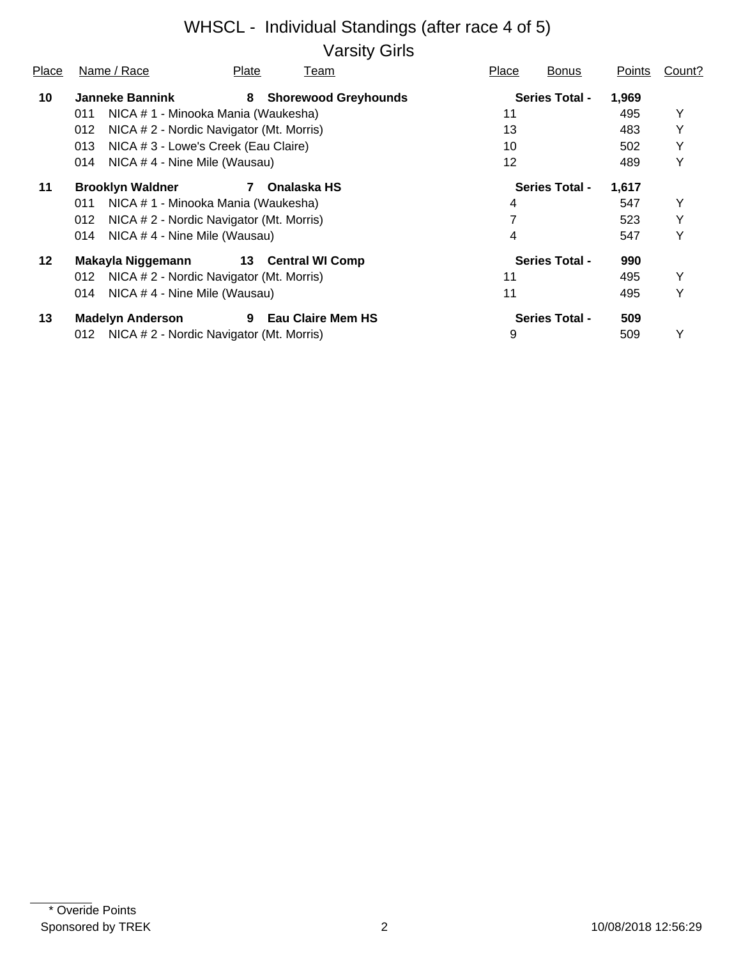# WHSCL - Individual Standings (after race 4 of 5) Varsity Girls

| Place   | Name / Race                         | Plate                                    | Team                        | Place | <b>Bonus</b>          | Points | Count? |
|---------|-------------------------------------|------------------------------------------|-----------------------------|-------|-----------------------|--------|--------|
| 10      | <b>Janneke Bannink</b>              | 8                                        | <b>Shorewood Greyhounds</b> |       | <b>Series Total -</b> | 1,969  |        |
|         | 011                                 | NICA # 1 - Minooka Mania (Waukesha)      |                             | 11    |                       | 495    | Y      |
|         | 012                                 | NICA # 2 - Nordic Navigator (Mt. Morris) |                             | 13    |                       | 483    | Y      |
|         | 013                                 | NICA # 3 - Lowe's Creek (Eau Claire)     |                             | 10    |                       | 502    | Y      |
|         | 014<br>NICA #4 - Nine Mile (Wausau) |                                          |                             | 12    |                       | 489    | Y      |
| 11      | <b>Brooklyn Waldner</b>             | Onalaska HS<br>7                         |                             |       | <b>Series Total -</b> | 1,617  |        |
|         | 011                                 | NICA # 1 - Minooka Mania (Waukesha)      |                             | 4     |                       | 547    | Y      |
|         | 012                                 | NICA # 2 - Nordic Navigator (Mt. Morris) |                             |       |                       | 523    | Y      |
|         | NICA #4 - Nine Mile (Wausau)<br>014 |                                          |                             | 4     |                       | 547    | Y      |
| $12 \,$ | Makayla Niggemann                   | 13 Central WI Comp                       |                             |       | <b>Series Total -</b> | 990    |        |
|         | 012                                 | NICA # 2 - Nordic Navigator (Mt. Morris) |                             | 11    |                       | 495    | Y      |
|         | NICA #4 - Nine Mile (Wausau)<br>014 |                                          |                             | 11    |                       | 495    | Y      |
| 13      | <b>Madelyn Anderson</b>             | 9                                        | <b>Eau Claire Mem HS</b>    |       | <b>Series Total -</b> | 509    |        |
|         | 012                                 | NICA # 2 - Nordic Navigator (Mt. Morris) |                             | 9     |                       | 509    | Υ      |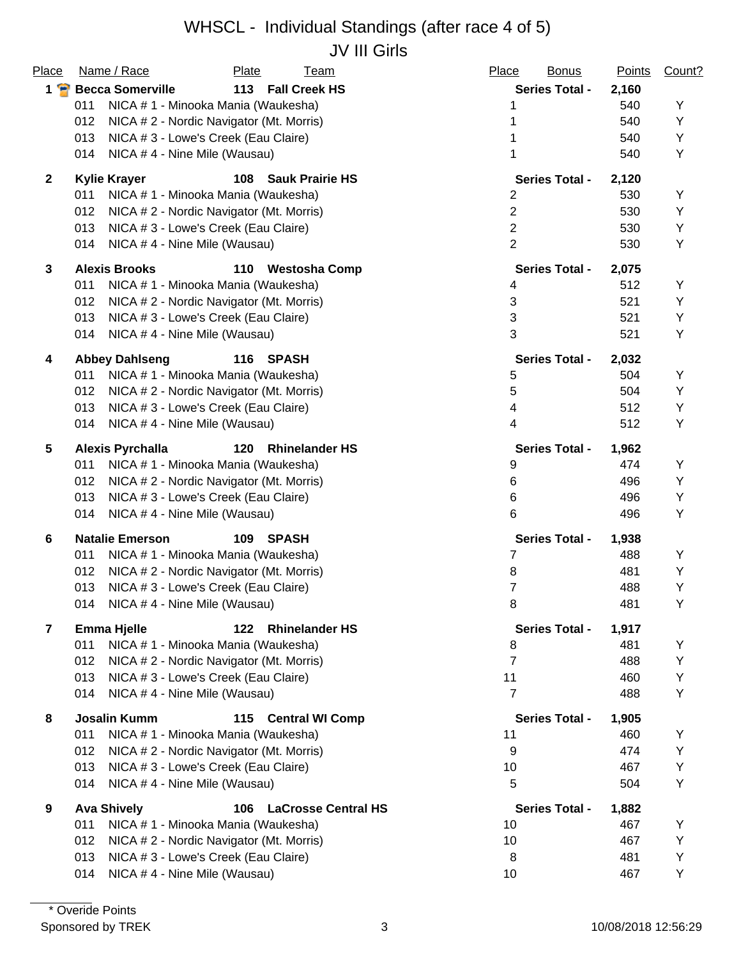## WHSCL - Individual Standings (after race 4 of 5) JV III Girls

| Place          | Name / Race<br><b>Plate</b><br><b>Team</b>              | Place<br><b>Bonus</b> | <b>Points</b> | Count? |
|----------------|---------------------------------------------------------|-----------------------|---------------|--------|
| $1$ $\bullet$  | <b>Becca Somerville</b><br>113 Fall Creek HS            | <b>Series Total -</b> | 2,160         |        |
|                | 011<br>NICA # 1 - Minooka Mania (Waukesha)              | 1                     | 540           | Υ      |
|                | 012<br>NICA # 2 - Nordic Navigator (Mt. Morris)         |                       | 540           | Υ      |
|                | 013<br>NICA # 3 - Lowe's Creek (Eau Claire)             |                       | 540           | Υ      |
|                | 014<br>NICA #4 - Nine Mile (Wausau)                     |                       | 540           | Υ      |
| $\overline{2}$ | <b>Kylie Krayer</b><br>108<br><b>Sauk Prairie HS</b>    | <b>Series Total -</b> | 2,120         |        |
|                | NICA # 1 - Minooka Mania (Waukesha)<br>011              | $\overline{2}$        | 530           | Υ      |
|                | 012<br>NICA # 2 - Nordic Navigator (Mt. Morris)         | $\overline{c}$        | 530           | Υ      |
|                | 013<br>NICA # 3 - Lowe's Creek (Eau Claire)             | $\mathbf{2}$          | 530           | Y      |
|                | NICA #4 - Nine Mile (Wausau)<br>014                     | $\overline{2}$        | 530           | Υ      |
| $\mathbf{3}$   | <b>Alexis Brooks</b><br>110 Westosha Comp               | <b>Series Total -</b> | 2,075         |        |
|                | 011<br>NICA # 1 - Minooka Mania (Waukesha)              | 4                     | 512           | Υ      |
|                | 012<br>NICA # 2 - Nordic Navigator (Mt. Morris)         | 3                     | 521           | Y      |
|                | 013<br>NICA # 3 - Lowe's Creek (Eau Claire)             | 3                     | 521           | Υ      |
|                | 014<br>NICA #4 - Nine Mile (Wausau)                     | 3                     | 521           | Υ      |
| 4              | <b>Abbey Dahlseng</b><br>116<br>SPASH                   | <b>Series Total -</b> | 2,032         |        |
|                | 011<br>NICA # 1 - Minooka Mania (Waukesha)              | 5                     | 504           | Y      |
|                | 012<br>NICA # 2 - Nordic Navigator (Mt. Morris)         | 5                     | 504           | Y      |
|                | 013<br>NICA # 3 - Lowe's Creek (Eau Claire)             | 4                     | 512           | Υ      |
|                | 014<br>NICA #4 - Nine Mile (Wausau)                     | 4                     | 512           | Υ      |
| 5              | <b>Alexis Pyrchalla</b><br>120<br><b>Rhinelander HS</b> | <b>Series Total -</b> | 1,962         |        |
|                | NICA # 1 - Minooka Mania (Waukesha)<br>011              | 9                     | 474           | Υ      |
|                | 012<br>NICA # 2 - Nordic Navigator (Mt. Morris)         | 6                     | 496           | Υ      |
|                | 013<br>NICA # 3 - Lowe's Creek (Eau Claire)             | 6                     | 496           | Y      |
|                | 014<br>NICA #4 - Nine Mile (Wausau)                     | 6                     | 496           | Υ      |
| 6              | <b>Natalie Emerson</b><br>109<br><b>SPASH</b>           | <b>Series Total -</b> | 1,938         |        |
|                | NICA # 1 - Minooka Mania (Waukesha)<br>011              | 7                     | 488           | Y      |
|                | 012<br>NICA # 2 - Nordic Navigator (Mt. Morris)         | 8                     | 481           | Υ      |
|                | NICA # 3 - Lowe's Creek (Eau Claire)<br>013             | $\overline{7}$        | 488           | Y      |
|                | 014 NICA #4 - Nine Mile (Wausau)                        | 8                     | 481           | Y      |
| $\overline{7}$ | <b>Emma Hjelle</b><br>122 Rhinelander HS                | <b>Series Total -</b> | 1,917         |        |
|                | 011<br>NICA # 1 - Minooka Mania (Waukesha)              | 8                     | 481           | Υ      |
|                | 012<br>NICA # 2 - Nordic Navigator (Mt. Morris)         | 7                     | 488           | Υ      |
|                | 013<br>NICA # 3 - Lowe's Creek (Eau Claire)             | 11                    | 460           | Υ      |
|                | NICA #4 - Nine Mile (Wausau)<br>014                     | $\overline{7}$        | 488           | Υ      |
| 8              | <b>Josalin Kumm</b><br>115<br><b>Central WI Comp</b>    | <b>Series Total -</b> | 1,905         |        |
|                | 011<br>NICA # 1 - Minooka Mania (Waukesha)              | 11                    | 460           | Υ      |
|                | 012<br>NICA # 2 - Nordic Navigator (Mt. Morris)         | 9                     | 474           | Υ      |
|                | 013<br>NICA # 3 - Lowe's Creek (Eau Claire)             | 10                    | 467           | Υ      |
|                | 014<br>NICA #4 - Nine Mile (Wausau)                     | 5                     | 504           | Υ      |
| 9              | <b>Ava Shively</b><br><b>LaCrosse Central HS</b><br>106 | <b>Series Total -</b> | 1,882         |        |
|                | 011<br>NICA # 1 - Minooka Mania (Waukesha)              | 10                    | 467           | Υ      |
|                | 012<br>NICA # 2 - Nordic Navigator (Mt. Morris)         | 10                    | 467           | Υ      |
|                | 013<br>NICA # 3 - Lowe's Creek (Eau Claire)             | 8                     | 481           | Υ      |
|                | NICA #4 - Nine Mile (Wausau)<br>014                     | 10                    | 467           | Υ      |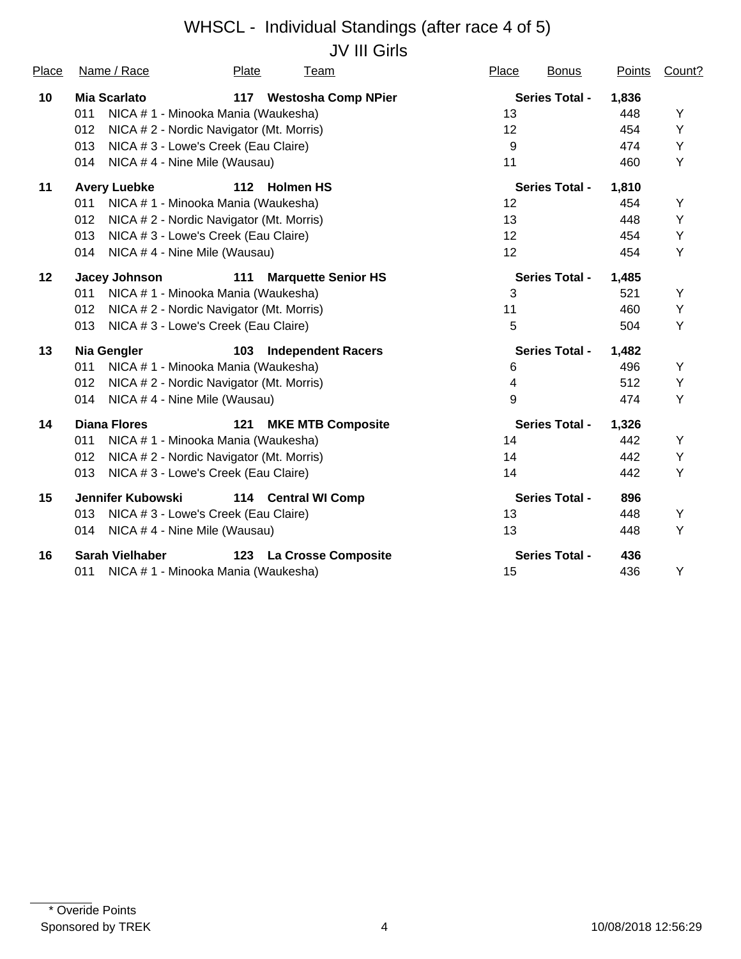## WHSCL - Individual Standings (after race 4 of 5) JV III Girls

| Place   | Name / Race                                     | Plate | <u>Team</u>                | Place | <b>Bonus</b>          | Points | Count? |
|---------|-------------------------------------------------|-------|----------------------------|-------|-----------------------|--------|--------|
| 10      | Mia Scarlato                                    | 117   | <b>Westosha Comp NPier</b> |       | <b>Series Total -</b> | 1,836  |        |
|         | 011<br>NICA # 1 - Minooka Mania (Waukesha)      |       |                            | 13    |                       | 448    | Y      |
|         | 012<br>NICA # 2 - Nordic Navigator (Mt. Morris) |       |                            | 12    |                       | 454    | Υ      |
|         | NICA # 3 - Lowe's Creek (Eau Claire)<br>013     |       |                            | 9     |                       | 474    | Υ      |
|         | 014<br>NICA #4 - Nine Mile (Wausau)             |       |                            | 11    |                       | 460    | Υ      |
| 11      | <b>Avery Luebke</b>                             | $112$ | <b>Holmen HS</b>           |       | <b>Series Total -</b> | 1,810  |        |
|         | 011<br>NICA #1 - Minooka Mania (Waukesha)       |       |                            | 12    |                       | 454    | Y      |
|         | NICA # 2 - Nordic Navigator (Mt. Morris)<br>012 |       |                            | 13    |                       | 448    | Υ      |
|         | NICA # 3 - Lowe's Creek (Eau Claire)<br>013     |       |                            | 12    |                       | 454    | Υ      |
|         | NICA #4 - Nine Mile (Wausau)<br>014             |       |                            | 12    |                       | 454    | Υ      |
| $12 \,$ | <b>Jacey Johnson</b>                            | 111   | <b>Marquette Senior HS</b> |       | <b>Series Total -</b> | 1,485  |        |
|         | NICA # 1 - Minooka Mania (Waukesha)<br>011      |       |                            | 3     |                       | 521    | Y      |
|         | NICA # 2 - Nordic Navigator (Mt. Morris)<br>012 |       |                            | 11    |                       | 460    | Υ      |
|         | 013<br>NICA # 3 - Lowe's Creek (Eau Claire)     |       |                            | 5     |                       | 504    | Υ      |
| 13      | <b>Nia Gengler</b>                              | 103   | <b>Independent Racers</b>  |       | <b>Series Total -</b> | 1,482  |        |
|         | NICA # 1 - Minooka Mania (Waukesha)<br>011      |       |                            | 6     |                       | 496    | Y      |
|         | NICA # 2 - Nordic Navigator (Mt. Morris)<br>012 |       |                            | 4     |                       | 512    | Υ      |
|         | NICA #4 - Nine Mile (Wausau)<br>014             |       |                            | 9     |                       | 474    | Υ      |
| 14      | <b>Diana Flores</b>                             | 121   | <b>MKE MTB Composite</b>   |       | <b>Series Total -</b> | 1,326  |        |
|         | NICA # 1 - Minooka Mania (Waukesha)<br>011      |       |                            | 14    |                       | 442    | Υ      |
|         | NICA # 2 - Nordic Navigator (Mt. Morris)<br>012 |       |                            | 14    |                       | 442    | Υ      |
|         | NICA # 3 - Lowe's Creek (Eau Claire)<br>013     |       |                            | 14    |                       | 442    | Υ      |
| 15      | Jennifer Kubowski                               |       | 114 Central WI Comp        |       | <b>Series Total -</b> | 896    |        |
|         | NICA # 3 - Lowe's Creek (Eau Claire)<br>013     |       |                            | 13    |                       | 448    | Υ      |
|         | NICA #4 - Nine Mile (Wausau)<br>014             |       |                            | 13    |                       | 448    | Υ      |
| 16      | <b>Sarah Vielhaber</b>                          | 123   | <b>La Crosse Composite</b> |       | <b>Series Total -</b> | 436    |        |
|         | NICA #1 - Minooka Mania (Waukesha)<br>011       |       |                            | 15    |                       | 436    | Υ      |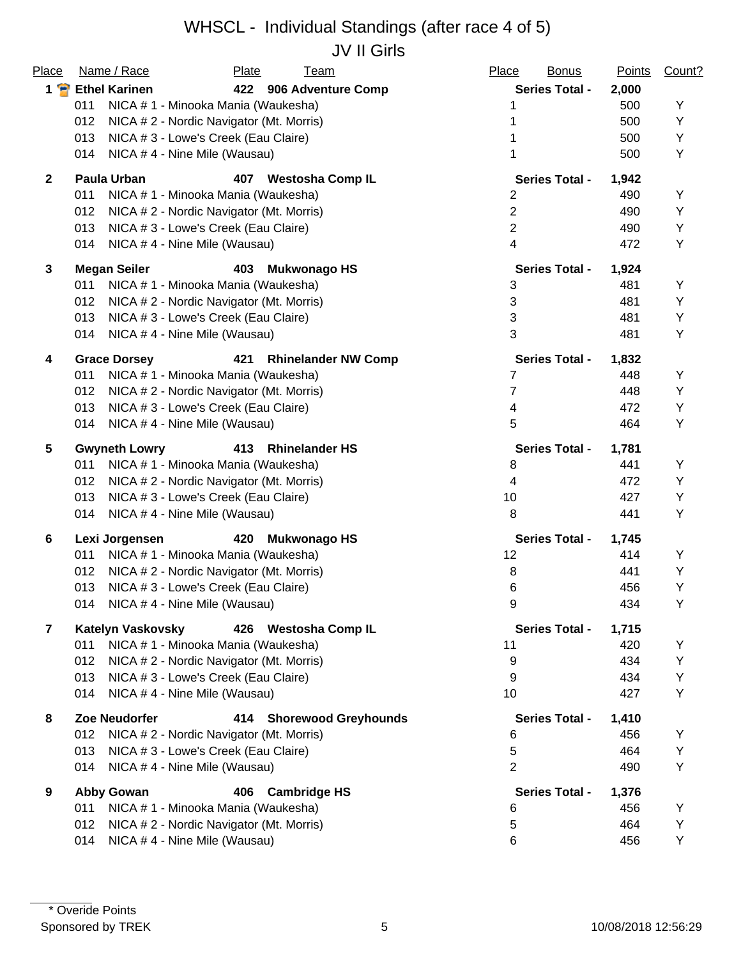## WHSCL - Individual Standings (after race 4 of 5) JV II Girls

| Place          | Name / Race<br>Plate<br><b>Team</b>                      | Place<br><b>Bonus</b>     | <b>Points</b> | Count? |
|----------------|----------------------------------------------------------|---------------------------|---------------|--------|
| $1$ $\bullet$  | <b>Ethel Karinen</b><br>422 906 Adventure Comp           | <b>Series Total -</b>     | 2,000         |        |
|                | 011<br>NICA # 1 - Minooka Mania (Waukesha)               |                           | 500           | Υ      |
|                | 012<br>NICA # 2 - Nordic Navigator (Mt. Morris)          |                           | 500           | Y      |
|                | 013<br>NICA # 3 - Lowe's Creek (Eau Claire)              |                           | 500           | Υ      |
|                | 014<br>NICA #4 - Nine Mile (Wausau)                      |                           | 500           | Υ      |
| $\overline{2}$ | <b>Paula Urban</b><br><b>Westosha Comp IL</b><br>407     | <b>Series Total -</b>     | 1,942         |        |
|                | NICA # 1 - Minooka Mania (Waukesha)<br>011               | 2                         | 490           | Υ      |
|                | 012<br>NICA # 2 - Nordic Navigator (Mt. Morris)          | $\overline{2}$            | 490           | Υ      |
|                | 013<br>NICA # 3 - Lowe's Creek (Eau Claire)              | $\mathbf{2}$              | 490           | Υ      |
|                | NICA #4 - Nine Mile (Wausau)<br>014                      | 4                         | 472           | Υ      |
| $\mathbf{3}$   | <b>Megan Seiler</b><br><b>Mukwonago HS</b><br>403        | <b>Series Total -</b>     | 1,924         |        |
|                | 011<br>NICA # 1 - Minooka Mania (Waukesha)               | 3                         | 481           | Y      |
|                | 012<br>NICA # 2 - Nordic Navigator (Mt. Morris)          | $\ensuremath{\mathsf{3}}$ | 481           | Υ      |
|                | 013<br>NICA # 3 - Lowe's Creek (Eau Claire)              | $\sqrt{3}$                | 481           | Υ      |
|                | 014<br>NICA #4 - Nine Mile (Wausau)                      | 3                         | 481           | Υ      |
| 4              | <b>Grace Dorsey</b><br>421<br><b>Rhinelander NW Comp</b> | <b>Series Total -</b>     | 1,832         |        |
|                | 011<br>NICA # 1 - Minooka Mania (Waukesha)               | 7                         | 448           | Υ      |
|                | 012<br>NICA # 2 - Nordic Navigator (Mt. Morris)          | 7                         | 448           | Υ      |
|                | 013<br>NICA # 3 - Lowe's Creek (Eau Claire)              | 4                         | 472           | Υ      |
|                | 014<br>NICA #4 - Nine Mile (Wausau)                      | 5                         | 464           | Υ      |
| 5              | <b>Gwyneth Lowry</b><br>413 Rhinelander HS               | <b>Series Total -</b>     | 1,781         |        |
|                | NICA # 1 - Minooka Mania (Waukesha)<br>011               | 8                         | 441           | Y      |
|                | 012<br>NICA # 2 - Nordic Navigator (Mt. Morris)          | 4                         | 472           | Y      |
|                | 013<br>NICA # 3 - Lowe's Creek (Eau Claire)              | 10                        | 427           | Υ      |
|                | 014<br>NICA #4 - Nine Mile (Wausau)                      | 8                         | 441           | Υ      |
| 6              | Lexi Jorgensen<br><b>Mukwonago HS</b><br>420             | <b>Series Total -</b>     | 1,745         |        |
|                | NICA # 1 - Minooka Mania (Waukesha)<br>011               | 12                        | 414           | Υ      |
|                | 012<br>NICA # 2 - Nordic Navigator (Mt. Morris)          | 8                         | 441           | Υ      |
|                | 013<br>NICA # 3 - Lowe's Creek (Eau Claire)              | 6                         | 456           | Υ      |
|                | 014 NICA #4 - Nine Mile (Wausau)                         | 9                         | 434           | Y      |
| $\overline{7}$ | <b>Katelyn Vaskovsky</b><br>426 Westosha Comp IL         | <b>Series Total -</b>     | 1,715         |        |
|                | NICA # 1 - Minooka Mania (Waukesha)<br>011               | 11                        | 420           | Υ      |
|                | 012<br>NICA # 2 - Nordic Navigator (Mt. Morris)          | 9                         | 434           | Y      |
|                | 013<br>NICA # 3 - Lowe's Creek (Eau Claire)              | 9                         | 434           | Υ      |
|                | 014<br>NICA #4 - Nine Mile (Wausau)                      | 10                        | 427           | Υ      |
| 8              | Zoe Neudorfer<br><b>Shorewood Greyhounds</b><br>414      | <b>Series Total -</b>     | 1,410         |        |
|                | NICA # 2 - Nordic Navigator (Mt. Morris)<br>012          | 6                         | 456           | Y      |
|                | 013<br>NICA # 3 - Lowe's Creek (Eau Claire)              | 5                         | 464           | Υ      |
|                | NICA #4 - Nine Mile (Wausau)<br>014                      | $\overline{2}$            | 490           | Υ      |
| 9              | <b>Abby Gowan</b><br><b>Cambridge HS</b><br>406          | <b>Series Total -</b>     | 1,376         |        |
|                | NICA # 1 - Minooka Mania (Waukesha)<br>011               | 6                         | 456           | Y      |
|                | 012<br>NICA # 2 - Nordic Navigator (Mt. Morris)          | 5                         | 464           | Υ      |
|                | NICA #4 - Nine Mile (Wausau)<br>014                      | 6                         | 456           | Υ      |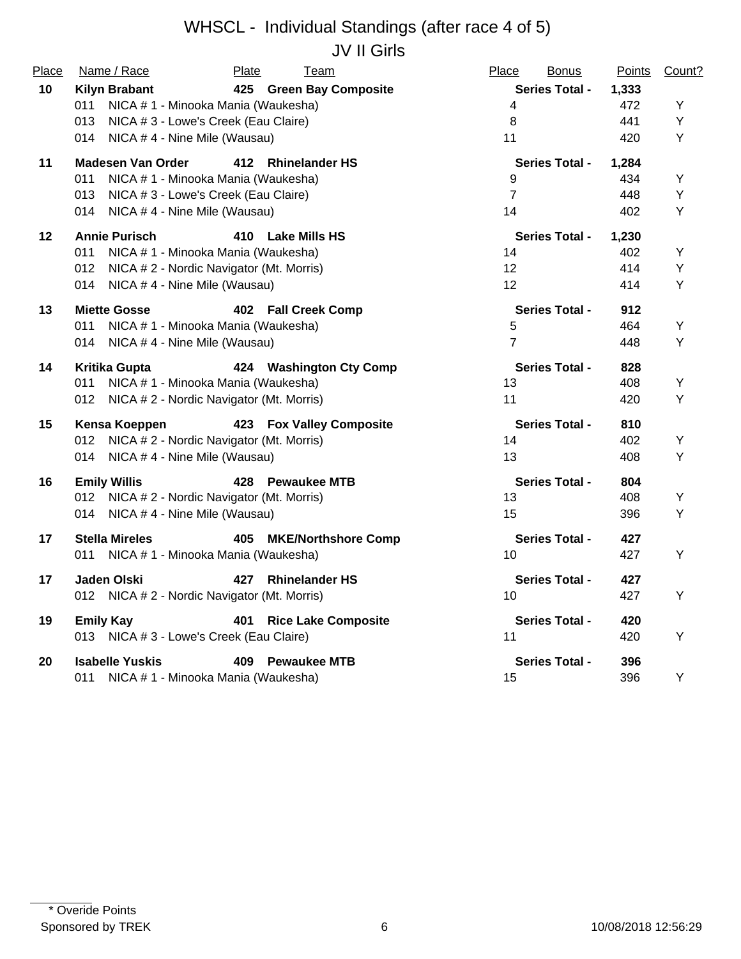#### WHSCL - Individual Standings (after race 4 of 5) JV II Girls

| Place   | Name / Race                                     | <b>Plate</b><br>Team              | Place<br><b>Bonus</b>    | <b>Points</b> | Count? |
|---------|-------------------------------------------------|-----------------------------------|--------------------------|---------------|--------|
| 10      | <b>Kilyn Brabant</b>                            | 425 Green Bay Composite           | <b>Series Total -</b>    | 1,333         |        |
|         | NICA # 1 - Minooka Mania (Waukesha)<br>011      |                                   | $\overline{\mathcal{A}}$ | 472           | Y      |
|         | NICA # 3 - Lowe's Creek (Eau Claire)<br>013     |                                   | 8                        | 441           | Y      |
|         | 014<br>NICA #4 - Nine Mile (Wausau)             |                                   | 11                       | 420           | Y      |
| 11      | <b>Madesen Van Order</b>                        | 412 Rhinelander HS                | <b>Series Total -</b>    | 1,284         |        |
|         | 011<br>NICA # 1 - Minooka Mania (Waukesha)      |                                   | 9                        | 434           | Y      |
|         | 013<br>NICA # 3 - Lowe's Creek (Eau Claire)     |                                   | $\overline{7}$           | 448           | Υ      |
|         | NICA #4 - Nine Mile (Wausau)<br>014             |                                   | 14                       | 402           | Υ      |
| $12 \,$ | <b>Annie Purisch</b>                            | 410 Lake Mills HS                 | <b>Series Total -</b>    | 1,230         |        |
|         | 011<br>NICA # 1 - Minooka Mania (Waukesha)      |                                   | 14                       | 402           | Υ      |
|         | NICA # 2 - Nordic Navigator (Mt. Morris)<br>012 |                                   | 12                       | 414           | Υ      |
|         | 014<br>NICA #4 - Nine Mile (Wausau)             |                                   | 12                       | 414           | Υ      |
| 13      | <b>Miette Gosse</b>                             | 402 Fall Creek Comp               | <b>Series Total -</b>    | 912           |        |
|         | NICA # 1 - Minooka Mania (Waukesha)<br>011      |                                   | 5                        | 464           | Y      |
|         | NICA # 4 - Nine Mile (Wausau)<br>014            |                                   | $\overline{7}$           | 448           | Υ      |
| 14      | <b>Kritika Gupta</b>                            | 424 Washington Cty Comp           | <b>Series Total -</b>    | 828           |        |
|         | NICA # 1 - Minooka Mania (Waukesha)<br>011      |                                   | 13                       | 408           | Υ      |
|         | 012 NICA # 2 - Nordic Navigator (Mt. Morris)    |                                   | 11                       | 420           | Υ      |
| 15      | Kensa Koeppen                                   | 423 Fox Valley Composite          | <b>Series Total -</b>    | 810           |        |
|         | 012 NICA # 2 - Nordic Navigator (Mt. Morris)    |                                   | 14                       | 402           | Υ      |
|         | 014 NICA #4 - Nine Mile (Wausau)                |                                   | 13                       | 408           | Y      |
| 16      | <b>Emily Willis</b>                             | 428 Pewaukee MTB                  | <b>Series Total -</b>    | 804           |        |
|         | 012 NICA # 2 - Nordic Navigator (Mt. Morris)    |                                   | 13                       | 408           | Υ      |
|         | 014 NICA #4 - Nine Mile (Wausau)                |                                   | 15                       | 396           | Y      |
| 17      | <b>Stella Mireles</b>                           | 405 MKE/Northshore Comp           | <b>Series Total -</b>    | 427           |        |
|         | 011<br>NICA # 1 - Minooka Mania (Waukesha)      |                                   | 10                       | 427           | Y      |
| 17      | Jaden Olski                                     | 427<br><b>Rhinelander HS</b>      | <b>Series Total -</b>    | 427           |        |
|         | 012 NICA # 2 - Nordic Navigator (Mt. Morris)    |                                   | 10                       | 427           | Y      |
| 19      | <b>Emily Kay</b>                                | <b>Rice Lake Composite</b><br>401 | <b>Series Total -</b>    | 420           |        |
|         | 013 NICA # 3 - Lowe's Creek (Eau Claire)        |                                   | 11                       | 420           | Υ      |
| 20      | <b>Isabelle Yuskis</b>                          | 409 Pewaukee MTB                  | <b>Series Total -</b>    | 396           |        |
|         | NICA #1 - Minooka Mania (Waukesha)<br>011       |                                   | 15                       | 396           | Υ      |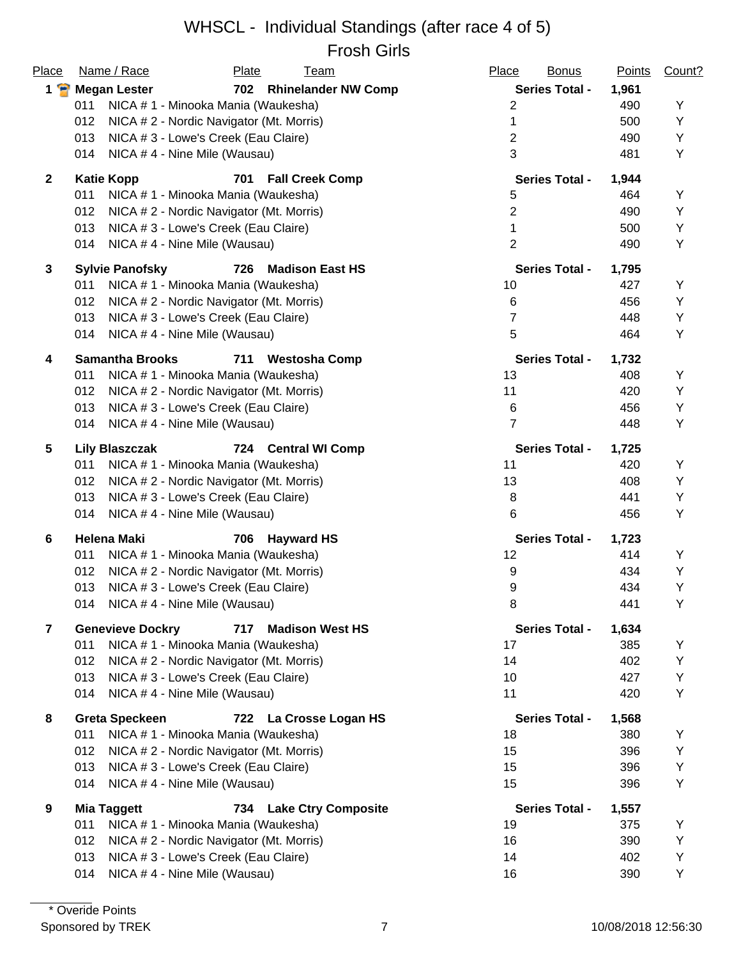#### WHSCL - Individual Standings (after race 4 of 5) Frosh Girls

| Place                   | Name / Race<br>Plate<br><u>Team</u>                      | Place<br><b>Bonus</b> | <b>Points</b> | Count? |
|-------------------------|----------------------------------------------------------|-----------------------|---------------|--------|
| $1$ $\blacksquare$      | 702 Rhinelander NW Comp<br><b>Megan Lester</b>           | <b>Series Total -</b> | 1,961         |        |
|                         | 011<br>NICA # 1 - Minooka Mania (Waukesha)               | $\overline{2}$        | 490           | Υ      |
|                         | 012<br>NICA # 2 - Nordic Navigator (Mt. Morris)          | 1                     | 500           | Y      |
|                         | 013<br>NICA # 3 - Lowe's Creek (Eau Claire)              | $\overline{2}$        | 490           | Υ      |
|                         | 014<br>NICA #4 - Nine Mile (Wausau)                      | 3                     | 481           | Y      |
| $\overline{2}$          | <b>Katie Kopp</b><br><b>Fall Creek Comp</b><br>701       | <b>Series Total -</b> | 1,944         |        |
|                         | NICA # 1 - Minooka Mania (Waukesha)<br>011               | 5                     | 464           | Υ      |
|                         | 012<br>NICA # 2 - Nordic Navigator (Mt. Morris)          | $\overline{2}$        | 490           | Y      |
|                         | NICA # 3 - Lowe's Creek (Eau Claire)<br>013              | 1                     | 500           | Υ      |
|                         | NICA #4 - Nine Mile (Wausau)<br>014                      | $\overline{2}$        | 490           | Υ      |
| 3                       | <b>Sylvie Panofsky</b><br>726<br><b>Madison East HS</b>  | <b>Series Total -</b> | 1,795         |        |
|                         | NICA # 1 - Minooka Mania (Waukesha)<br>011               | 10                    | 427           | Υ      |
|                         | 012<br>NICA #2 - Nordic Navigator (Mt. Morris)           | 6                     | 456           | Υ      |
|                         | 013<br>NICA # 3 - Lowe's Creek (Eau Claire)              | $\overline{7}$        | 448           | Y      |
|                         | NICA #4 - Nine Mile (Wausau)<br>014                      | 5                     | 464           | Y      |
| 4                       | <b>Samantha Brooks</b><br>711<br><b>Westosha Comp</b>    | <b>Series Total -</b> | 1,732         |        |
|                         | 011<br>NICA # 1 - Minooka Mania (Waukesha)               | 13                    | 408           | Y      |
|                         | 012<br>NICA # 2 - Nordic Navigator (Mt. Morris)          | 11                    | 420           | Υ      |
|                         | 013<br>NICA # 3 - Lowe's Creek (Eau Claire)              | 6                     | 456           | Υ      |
|                         | NICA #4 - Nine Mile (Wausau)<br>014                      | $\overline{7}$        | 448           | Υ      |
| 5                       | <b>Lily Blaszczak</b><br>724 Central WI Comp             | <b>Series Total -</b> | 1,725         |        |
|                         | NICA # 1 - Minooka Mania (Waukesha)<br>011               | 11                    | 420           | Υ      |
|                         | NICA # 2 - Nordic Navigator (Mt. Morris)<br>012          | 13                    | 408           | Υ      |
|                         | 013<br>NICA # 3 - Lowe's Creek (Eau Claire)              | 8                     | 441           | Υ      |
|                         | 014<br>NICA #4 - Nine Mile (Wausau)                      | 6                     | 456           | Y      |
| 6                       | <b>Helena Maki</b><br><b>Hayward HS</b><br>706           | <b>Series Total -</b> | 1,723         |        |
|                         | 011<br>NICA # 1 - Minooka Mania (Waukesha)               | 12                    | 414           | Υ      |
|                         | 012<br>NICA # 2 - Nordic Navigator (Mt. Morris)          | 9                     | 434           | Υ      |
|                         | 013<br>NICA # 3 - Lowe's Creek (Eau Claire)              | 9                     | 434           | Y      |
|                         | NICA # 4 - Nine Mile (Wausau)<br>014                     | 8                     | 441           | Υ      |
| $\overline{\mathbf{r}}$ | <b>Genevieve Dockry</b><br>717<br><b>Madison West HS</b> | <b>Series Total -</b> | 1,634         |        |
|                         | NICA # 1 - Minooka Mania (Waukesha)<br>011               | 17                    | 385           | Y      |
|                         | 012<br>NICA # 2 - Nordic Navigator (Mt. Morris)          | 14                    | 402           | Υ      |
|                         | 013<br>NICA # 3 - Lowe's Creek (Eau Claire)              | 10                    | 427           | Υ      |
|                         | 014<br>NICA #4 - Nine Mile (Wausau)                      | 11                    | 420           | Υ      |
| 8                       | <b>Greta Speckeen</b><br>722 La Crosse Logan HS          | <b>Series Total -</b> | 1,568         |        |
|                         | NICA # 1 - Minooka Mania (Waukesha)<br>011               | 18                    | 380           | Υ      |
|                         | 012<br>NICA # 2 - Nordic Navigator (Mt. Morris)          | 15                    | 396           | Y      |
|                         | 013<br>NICA # 3 - Lowe's Creek (Eau Claire)              | 15                    | 396           | Y      |
|                         | 014<br>NICA #4 - Nine Mile (Wausau)                      | 15                    | 396           | Y      |
| 9                       | <b>Mia Taggett</b><br><b>Lake Ctry Composite</b><br>734  | <b>Series Total -</b> | 1,557         |        |
|                         | 011<br>NICA # 1 - Minooka Mania (Waukesha)               | 19                    | 375           | Υ      |
|                         | NICA # 2 - Nordic Navigator (Mt. Morris)<br>012          | 16                    | 390           | Y      |
|                         | 013<br>NICA # 3 - Lowe's Creek (Eau Claire)              | 14                    | 402           | Y      |
|                         | NICA #4 - Nine Mile (Wausau)<br>014                      | 16                    | 390           | Υ      |
|                         |                                                          |                       |               |        |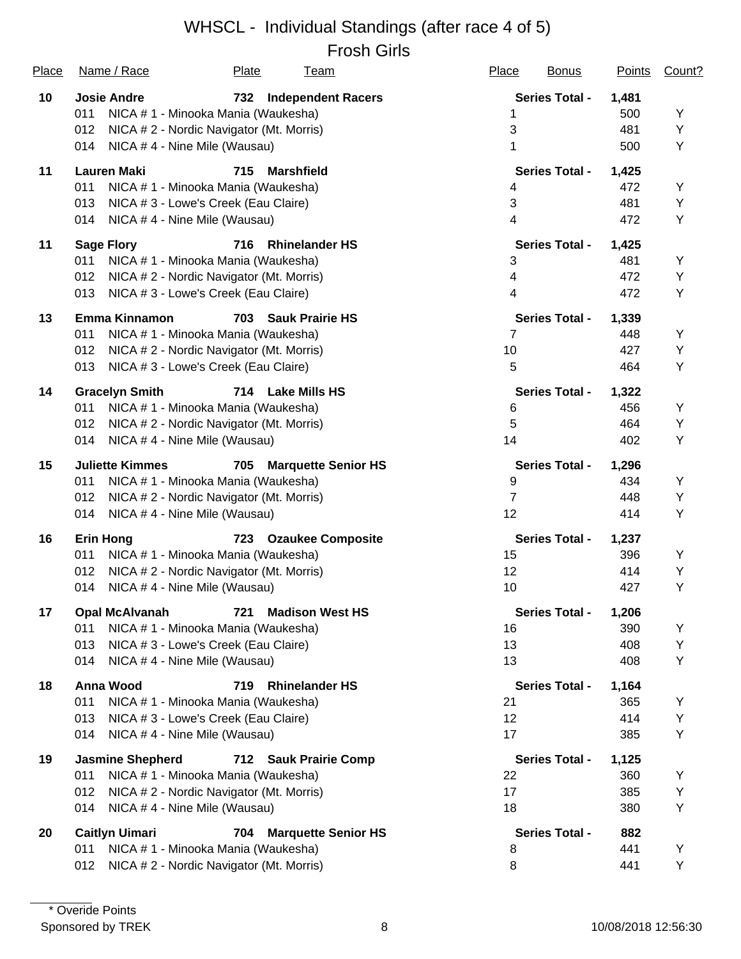# WHSCL - Individual Standings (after race 4 of 5)

Frosh Girls

| <u>Place</u> | Name / Race                                     | <b>Plate</b>             | <u>Team</u>                | <b>Place</b>    | <b>Bonus</b>          | <b>Points</b> | Count? |
|--------------|-------------------------------------------------|--------------------------|----------------------------|-----------------|-----------------------|---------------|--------|
| 10           | <b>Josie Andre</b>                              | 732                      | <b>Independent Racers</b>  |                 | <b>Series Total -</b> | 1,481         |        |
|              | 011<br>NICA # 1 - Minooka Mania (Waukesha)      |                          |                            |                 |                       | 500           | Y      |
|              | NICA # 2 - Nordic Navigator (Mt. Morris)<br>012 |                          |                            | 3               |                       | 481           | Y      |
|              | 014<br>NICA #4 - Nine Mile (Wausau)             |                          |                            | 1               |                       | 500           | Υ      |
| 11           | <b>Lauren Maki</b>                              | 715<br><b>Marshfield</b> |                            |                 | <b>Series Total -</b> | 1,425         |        |
|              | 011<br>NICA # 1 - Minooka Mania (Waukesha)      |                          |                            | 4               |                       | 472           | Y      |
|              | 013<br>NICA # 3 - Lowe's Creek (Eau Claire)     |                          |                            | 3               |                       | 481           | Y      |
|              | 014<br>NICA #4 - Nine Mile (Wausau)             |                          |                            | 4               |                       | 472           | Υ      |
| 11           | <b>Sage Flory</b>                               | 716                      | <b>Rhinelander HS</b>      |                 | <b>Series Total -</b> | 1,425         |        |
|              | 011<br>NICA # 1 - Minooka Mania (Waukesha)      |                          |                            | 3               |                       | 481           | Y      |
|              | 012<br>NICA # 2 - Nordic Navigator (Mt. Morris) |                          |                            | $\overline{4}$  |                       | 472           | Υ      |
|              | 013<br>NICA # 3 - Lowe's Creek (Eau Claire)     |                          |                            | 4               |                       | 472           | Y      |
| 13           | <b>Emma Kinnamon</b>                            | 703                      | <b>Sauk Prairie HS</b>     |                 | <b>Series Total -</b> | 1,339         |        |
|              | NICA # 1 - Minooka Mania (Waukesha)<br>011      |                          |                            | $\overline{7}$  |                       | 448           | Y      |
|              | 012<br>NICA # 2 - Nordic Navigator (Mt. Morris) |                          |                            | 10              |                       | 427           | Υ      |
|              | 013<br>NICA # 3 - Lowe's Creek (Eau Claire)     |                          |                            | 5               |                       | 464           | Υ      |
| 14           | <b>Gracelyn Smith</b>                           | 714 Lake Mills HS        |                            |                 | <b>Series Total -</b> | 1,322         |        |
|              | NICA # 1 - Minooka Mania (Waukesha)<br>011      |                          |                            | 6               |                       | 456           | Υ      |
|              | 012<br>NICA # 2 - Nordic Navigator (Mt. Morris) |                          |                            | 5               |                       | 464           | Υ      |
|              | 014<br>NICA #4 - Nine Mile (Wausau)             |                          |                            | 14              |                       | 402           | Υ      |
| 15           | <b>Juliette Kimmes</b>                          | 705                      | <b>Marquette Senior HS</b> |                 | <b>Series Total -</b> | 1,296         |        |
|              | NICA # 1 - Minooka Mania (Waukesha)<br>011      |                          |                            | 9               |                       | 434           | Υ      |
|              | 012<br>NICA # 2 - Nordic Navigator (Mt. Morris) |                          |                            | $\overline{7}$  |                       | 448           | Υ      |
|              | 014<br>NICA #4 - Nine Mile (Wausau)             |                          |                            | 12              |                       | 414           | Υ      |
| 16           | <b>Erin Hong</b>                                |                          | 723 Ozaukee Composite      |                 | <b>Series Total -</b> | 1,237         |        |
|              | NICA # 1 - Minooka Mania (Waukesha)<br>011      |                          |                            | 15              |                       | 396           | Y      |
|              | 012<br>NICA # 2 - Nordic Navigator (Mt. Morris) |                          |                            | 12 <sub>2</sub> |                       | 414           | Υ      |
|              | NICA #4 - Nine Mile (Wausau)<br>014             |                          |                            | 10              |                       | 427           | Υ      |
| 17           | <b>Opal McAlvanah</b>                           |                          | 721 Madison West HS        |                 | <b>Series Total -</b> | 1,206         |        |
|              | NICA # 1 - Minooka Mania (Waukesha)<br>011      |                          |                            | 16              |                       | 390           | Υ      |
|              | 013<br>NICA # 3 - Lowe's Creek (Eau Claire)     |                          |                            | 13              |                       | 408           | Y      |
|              | NICA #4 - Nine Mile (Wausau)<br>014             |                          |                            | 13              |                       | 408           | Y      |
| 18           | Anna Wood                                       | 719                      | <b>Rhinelander HS</b>      |                 | <b>Series Total -</b> | 1,164         |        |
|              | 011<br>NICA # 1 - Minooka Mania (Waukesha)      |                          |                            | 21              |                       | 365           | Y      |
|              | NICA #3 - Lowe's Creek (Eau Claire)<br>013      |                          |                            | 12              |                       | 414           | Y      |
|              | 014<br>NICA #4 - Nine Mile (Wausau)             |                          |                            | 17              |                       | 385           | Υ      |
| 19           | <b>Jasmine Shepherd</b>                         |                          | 712 Sauk Prairie Comp      |                 | <b>Series Total -</b> | 1,125         |        |
|              | 011<br>NICA # 1 - Minooka Mania (Waukesha)      |                          |                            | 22              |                       | 360           | Y      |
|              | NICA # 2 - Nordic Navigator (Mt. Morris)<br>012 |                          |                            | 17              |                       | 385           | Υ      |
|              | 014<br>NICA #4 - Nine Mile (Wausau)             |                          |                            | 18              |                       | 380           | Υ      |
| 20           | <b>Caitlyn Uimari</b>                           | 704                      | <b>Marquette Senior HS</b> |                 | <b>Series Total -</b> | 882           |        |
|              | NICA # 1 - Minooka Mania (Waukesha)<br>011      |                          |                            | 8               |                       | 441           | Υ      |
|              | NICA # 2 - Nordic Navigator (Mt. Morris)<br>012 |                          |                            | 8               |                       | 441           | Υ      |
|              |                                                 |                          |                            |                 |                       |               |        |